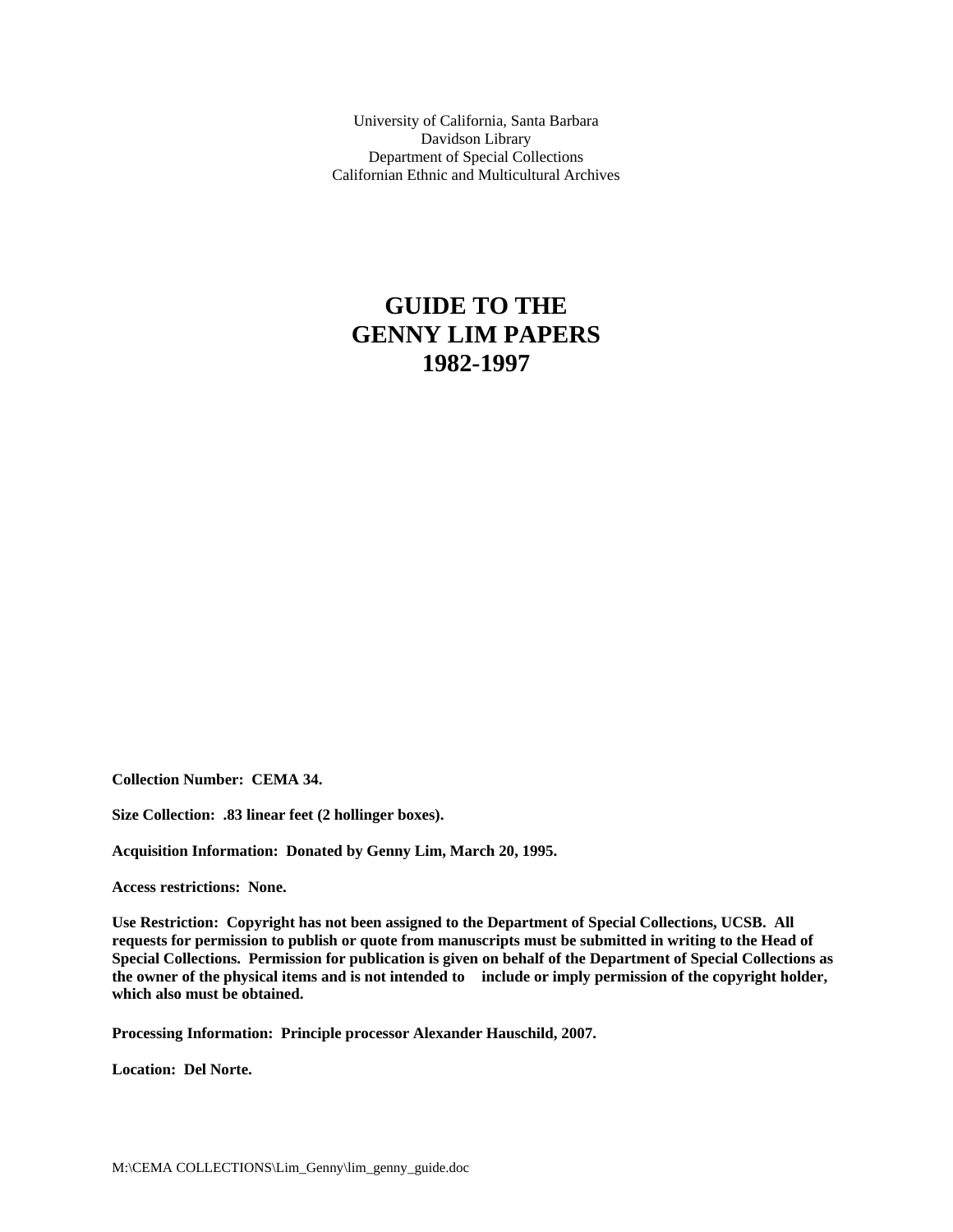University of California, Santa Barbara Davidson Library Department of Special Collections Californian Ethnic and Multicultural Archives

# **GUIDE TO THE GENNY LIM PAPERS 1982-1997**

**Collection Number: CEMA 34.** 

**Size Collection: .83 linear feet (2 hollinger boxes).** 

**Acquisition Information: Donated by Genny Lim, March 20, 1995.** 

**Access restrictions: None.** 

**Use Restriction: Copyright has not been assigned to the Department of Special Collections, UCSB. All requests for permission to publish or quote from manuscripts must be submitted in writing to the Head of Special Collections. Permission for publication is given on behalf of the Department of Special Collections as the owner of the physical items and is not intended to include or imply permission of the copyright holder, which also must be obtained.** 

**Processing Information: Principle processor Alexander Hauschild, 2007.** 

**Location: Del Norte.**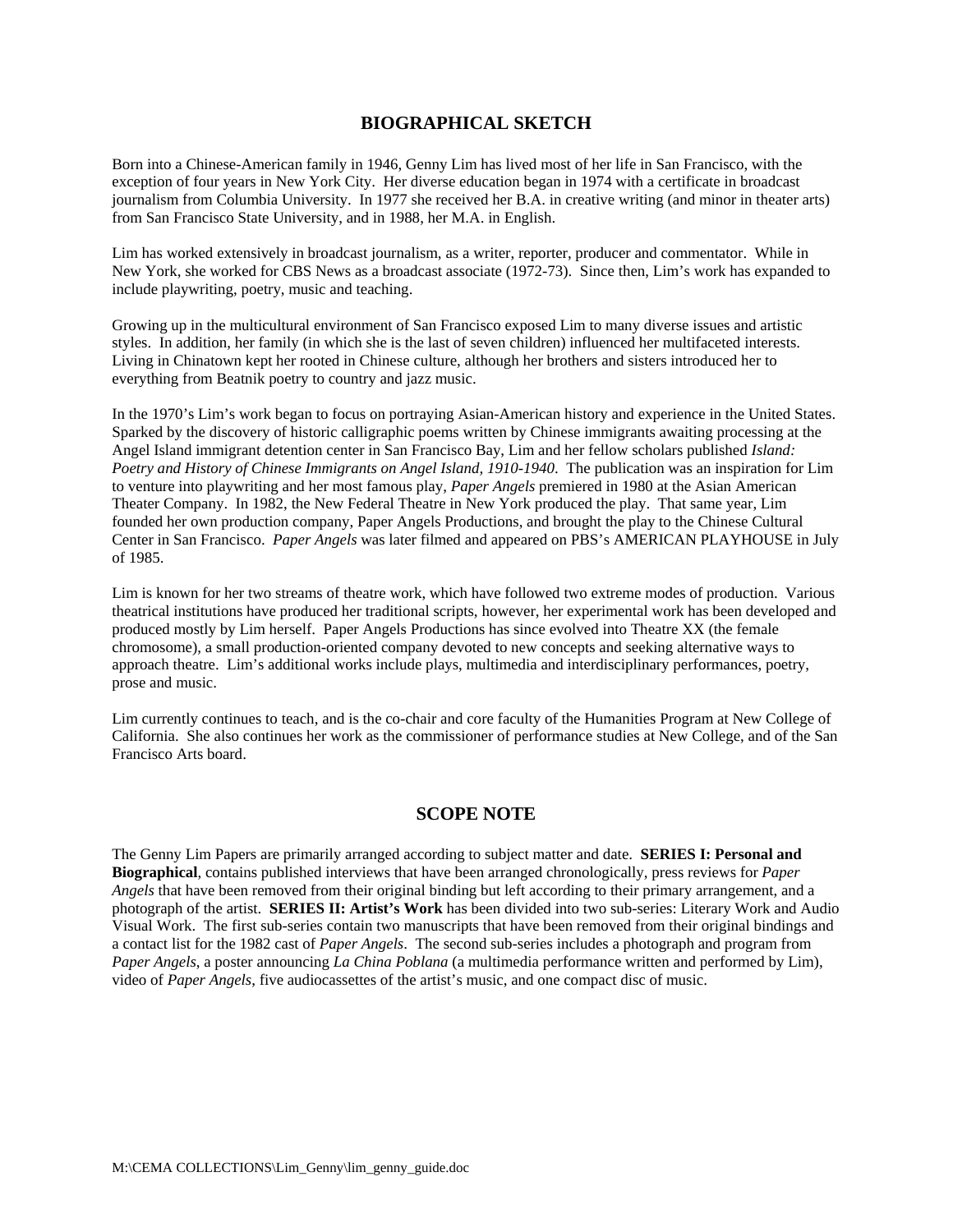# **BIOGRAPHICAL SKETCH**

Born into a Chinese-American family in 1946, Genny Lim has lived most of her life in San Francisco, with the exception of four years in New York City. Her diverse education began in 1974 with a certificate in broadcast journalism from Columbia University. In 1977 she received her B.A. in creative writing (and minor in theater arts) from San Francisco State University, and in 1988, her M.A. in English.

Lim has worked extensively in broadcast journalism, as a writer, reporter, producer and commentator. While in New York, she worked for CBS News as a broadcast associate (1972-73). Since then, Lim's work has expanded to include playwriting, poetry, music and teaching.

Growing up in the multicultural environment of San Francisco exposed Lim to many diverse issues and artistic styles. In addition, her family (in which she is the last of seven children) influenced her multifaceted interests. Living in Chinatown kept her rooted in Chinese culture, although her brothers and sisters introduced her to everything from Beatnik poetry to country and jazz music.

In the 1970's Lim's work began to focus on portraying Asian-American history and experience in the United States. Sparked by the discovery of historic calligraphic poems written by Chinese immigrants awaiting processing at the Angel Island immigrant detention center in San Francisco Bay, Lim and her fellow scholars published *Island: Poetry and History of Chinese Immigrants on Angel Island, 1910-1940*. The publication was an inspiration for Lim to venture into playwriting and her most famous play, *Paper Angels* premiered in 1980 at the Asian American Theater Company. In 1982, the New Federal Theatre in New York produced the play. That same year, Lim founded her own production company, Paper Angels Productions, and brought the play to the Chinese Cultural Center in San Francisco. *Paper Angels* was later filmed and appeared on PBS's AMERICAN PLAYHOUSE in July of 1985.

Lim is known for her two streams of theatre work, which have followed two extreme modes of production. Various theatrical institutions have produced her traditional scripts, however, her experimental work has been developed and produced mostly by Lim herself. Paper Angels Productions has since evolved into Theatre XX (the female chromosome), a small production-oriented company devoted to new concepts and seeking alternative ways to approach theatre. Lim's additional works include plays, multimedia and interdisciplinary performances, poetry, prose and music.

Lim currently continues to teach, and is the co-chair and core faculty of the Humanities Program at New College of California. She also continues her work as the commissioner of performance studies at New College, and of the San Francisco Arts board.

## **SCOPE NOTE**

The Genny Lim Papers are primarily arranged according to subject matter and date. **SERIES I: Personal and Biographical**, contains published interviews that have been arranged chronologically, press reviews for *Paper Angels* that have been removed from their original binding but left according to their primary arrangement, and a photograph of the artist. **SERIES II: Artist's Work** has been divided into two sub-series: Literary Work and Audio Visual Work. The first sub-series contain two manuscripts that have been removed from their original bindings and a contact list for the 1982 cast of *Paper Angels*. The second sub-series includes a photograph and program from *Paper Angels*, a poster announcing *La China Poblana* (a multimedia performance written and performed by Lim), video of *Paper Angels*, five audiocassettes of the artist's music, and one compact disc of music.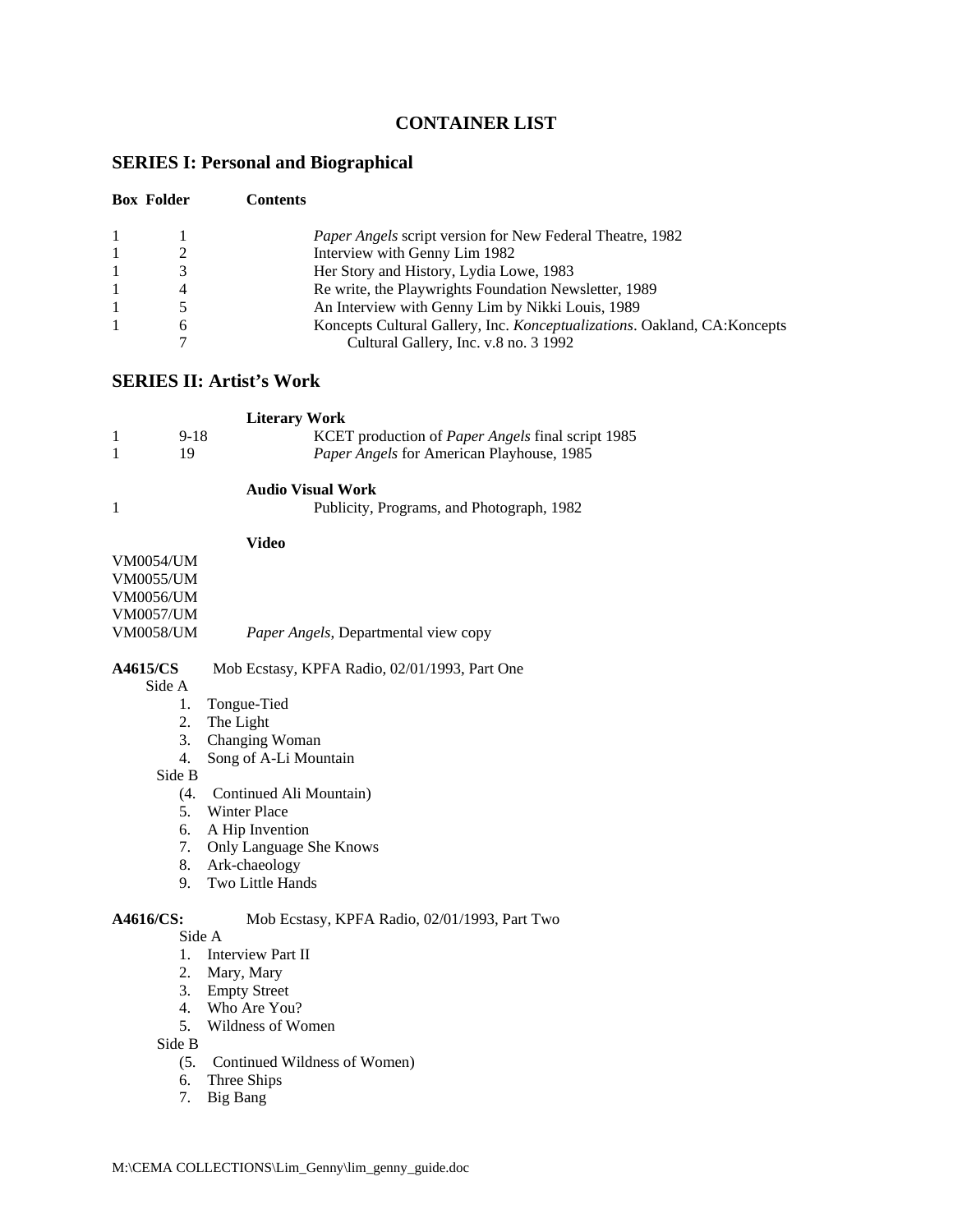# **CONTAINER LIST**

# **SERIES I: Personal and Biographical**

| <b>Box Folder</b> |   | <b>Contents</b>                                                          |  |
|-------------------|---|--------------------------------------------------------------------------|--|
|                   |   | <i>Paper Angels</i> script version for New Federal Theatre, 1982         |  |
|                   |   | Interview with Genny Lim 1982                                            |  |
|                   |   | Her Story and History, Lydia Lowe, 1983                                  |  |
|                   | 4 | Re write, the Playwrights Foundation Newsletter, 1989                    |  |
|                   |   | An Interview with Genny Lim by Nikki Louis, 1989                         |  |
|                   | 6 | Koncepts Cultural Gallery, Inc. Konceptualizations. Oakland, CA:Koncepts |  |
|                   |   | Cultural Gallery, Inc. v.8 no. 3 1992                                    |  |

# **SERIES II: Artist's Work**

| <b>Literary Work</b> |      |                                                          |  |  |  |
|----------------------|------|----------------------------------------------------------|--|--|--|
|                      | 9-18 | KCET production of <i>Paper Angels</i> final script 1985 |  |  |  |
|                      |      | Paper Angels for American Playhouse, 1985                |  |  |  |

#### **Audio Visual Work**

| Publicity, Programs, and Photograph, 1982 |  |
|-------------------------------------------|--|
|                                           |  |

#### **Video**

| <b>VM0054/UM</b> |                                             |
|------------------|---------------------------------------------|
| <b>VM0055/UM</b> |                                             |
| VM0056/UM        |                                             |
| VM0057/UM        |                                             |
| <b>VM0058/UM</b> | <i>Paper Angels, Departmental view copy</i> |
|                  |                                             |

### **A4615/CS** Mob Ecstasy, KPFA Radio, 02/01/1993, Part One

Side A

- 1. Tongue-Tied 2. The Light
- 
- 3. Changing Woman 4. Song of A-Li Mountain

Side B

- (4. Continued Ali Mountain)
- 5. Winter Place
- 6. A Hip Invention
- 7. Only Language She Knows
- 8. Ark-chaeology
- 9. Two Little Hands

# **A4616/CS:** Mob Ecstasy, KPFA Radio, 02/01/1993, Part Two

# Side A

- 1. Interview Part II
- 2. Mary, Mary
- 3. Empty Street
- 4. Who Are You?
- 5. Wildness of Women

Side B

- (5. Continued Wildness of Women)
- 6. Three Ships
- 7. Big Bang